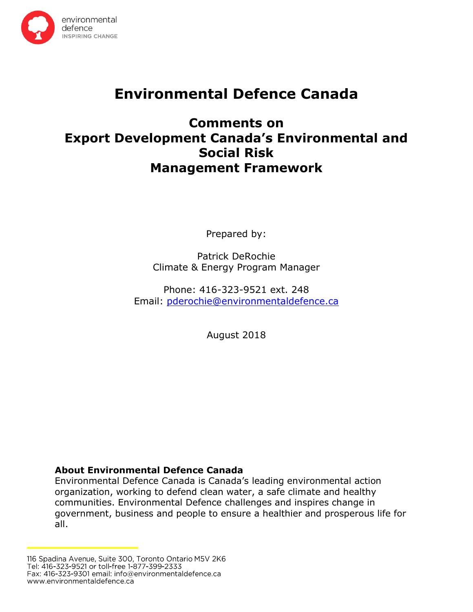

# **Environmental Defence Canada**

## **Comments on Export Development Canada's Environmental and Social Risk Management Framework**

Prepared by:

Patrick DeRochie Climate & Energy Program Manager

Phone: 416-323-9521 ext. 248 Email: [pderochie@environmentaldefence.ca](mailto:pderochie@environmentaldefence.ca)

August 2018

## **About Environmental Defence Canada**

Environmental Defence Canada is Canada's leading environmental action organization, working to defend clean water, a safe climate and healthy communities. Environmental Defence challenges and inspires change in government, business and people to ensure a healthier and prosperous life for all.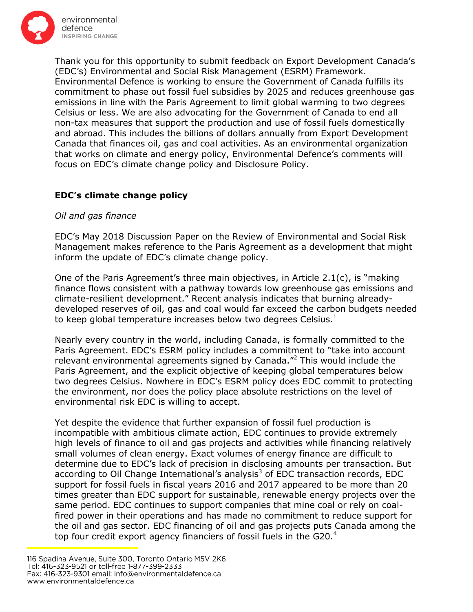

Thank you for this opportunity to submit feedback on Export Development Canada's (EDC's) Environmental and Social Risk Management (ESRM) Framework. Environmental Defence is working to ensure the Government of Canada fulfills its commitment to phase out fossil fuel subsidies by 2025 and reduces greenhouse gas emissions in line with the Paris Agreement to limit global warming to two degrees Celsius or less. We are also advocating for the Government of Canada to end all non-tax measures that support the production and use of fossil fuels domestically and abroad. This includes the billions of dollars annually from Export Development Canada that finances oil, gas and coal activities. As an environmental organization that works on climate and energy policy, Environmental Defence's comments will focus on EDC's climate change policy and Disclosure Policy.

## **EDC's climate change policy**

## *Oil and gas finance*

EDC's May 2018 Discussion Paper on the Review of Environmental and Social Risk Management makes reference to the Paris Agreement as a development that might inform the update of EDC's climate change policy.

One of the Paris Agreement's three main objectives, in Article  $2.1(c)$ , is "making finance flows consistent with a pathway towards low greenhouse gas emissions and climate-resilient development." Recent analysis indicates that burning alreadydeveloped reserves of oil, gas and coal would far exceed the carbon budgets needed to keep global temperature increases below two degrees Celsius. $<sup>1</sup>$ </sup>

Nearly every country in the world, including Canada, is formally committed to the Paris Agreement. EDC's ESRM policy includes a commitment to "take into account relevant environmental agreements signed by Canada. $^{\prime\prime}$  This would include the Paris Agreement, and the explicit objective of keeping global temperatures below two degrees Celsius. Nowhere in EDC's ESRM policy does EDC commit to protecting the environment, nor does the policy place absolute restrictions on the level of environmental risk EDC is willing to accept.

Yet despite the evidence that further expansion of fossil fuel production is incompatible with ambitious climate action, EDC continues to provide extremely high levels of finance to oil and gas projects and activities while financing relatively small volumes of clean energy. Exact volumes of energy finance are difficult to determine due to EDC's lack of precision in disclosing amounts per transaction. But according to Oil Change International's analysis<sup>3</sup> of EDC transaction records, EDC support for fossil fuels in fiscal years 2016 and 2017 appeared to be more than 20 times greater than EDC support for sustainable, renewable energy projects over the same period. EDC continues to support companies that mine coal or rely on coalfired power in their operations and has made no commitment to reduce support for the oil and gas sector. EDC financing of oil and gas projects puts Canada among the top four credit export agency financiers of fossil fuels in the G20.<sup>4</sup>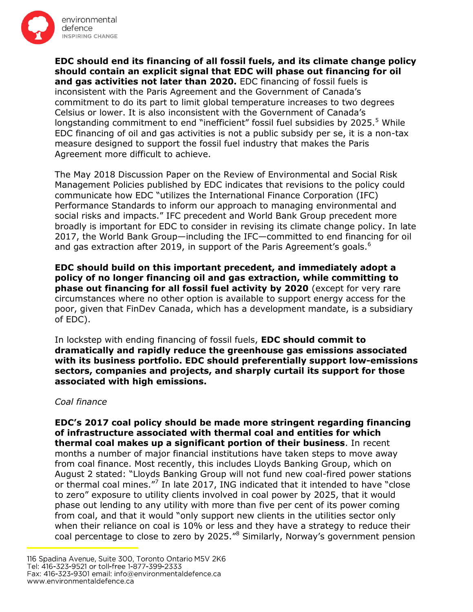

**EDC should end its financing of all fossil fuels, and its climate change policy should contain an explicit signal that EDC will phase out financing for oil and gas activities not later than 2020.** EDC financing of fossil fuels is inconsistent with the Paris Agreement and the Government of Canada's commitment to do its part to limit global temperature increases to two degrees Celsius or lower. It is also inconsistent with the Government of Canada's longstanding commitment to end "inefficient" fossil fuel subsidies by  $2025<sup>5</sup>$  While EDC financing of oil and gas activities is not a public subsidy per se, it is a non-tax measure designed to support the fossil fuel industry that makes the Paris Agreement more difficult to achieve.

The May 2018 Discussion Paper on the Review of Environmental and Social Risk Management Policies published by EDC indicates that revisions to the policy could communicate how EDC "utilizes the International Finance Corporation (IFC) Performance Standards to inform our approach to managing environmental and social risks and impacts." IFC precedent and World Bank Group precedent more broadly is important for EDC to consider in revising its climate change policy. In late 2017, the World Bank Group—including the IFC—committed to end financing for oil and gas extraction after 2019, in support of the Paris Agreement's goals.<sup>6</sup>

**EDC should build on this important precedent, and immediately adopt a policy of no longer financing oil and gas extraction, while committing to phase out financing for all fossil fuel activity by 2020** (except for very rare circumstances where no other option is available to support energy access for the poor, given that FinDev Canada, which has a development mandate, is a subsidiary of EDC).

In lockstep with ending financing of fossil fuels, **EDC should commit to dramatically and rapidly reduce the greenhouse gas emissions associated with its business portfolio. EDC should preferentially support low-emissions sectors, companies and projects, and sharply curtail its support for those associated with high emissions.**

#### *Coal finance*

**EDC's 2017 coal policy should be made more stringent regarding financing of infrastructure associated with thermal coal and entities for which thermal coal makes up a significant portion of their business**. In recent months a number of major financial institutions have taken steps to move away from coal finance. Most recently, this includes Lloyds Banking Group, which on August 2 stated: "Lloyds Banking Group will not fund new coal-fired power stations or thermal coal mines."<sup>7</sup> In late 2017, ING indicated that it intended to have "close to zero" exposure to utility clients involved in coal power by 2025, that it would phase out lending to any utility with more than five per cent of its power coming from coal, and that it would "only support new clients in the utilities sector only when their reliance on coal is 10% or less and they have a strategy to reduce their coal percentage to close to zero by 2025."<sup>8</sup> Similarly, Norway's government pension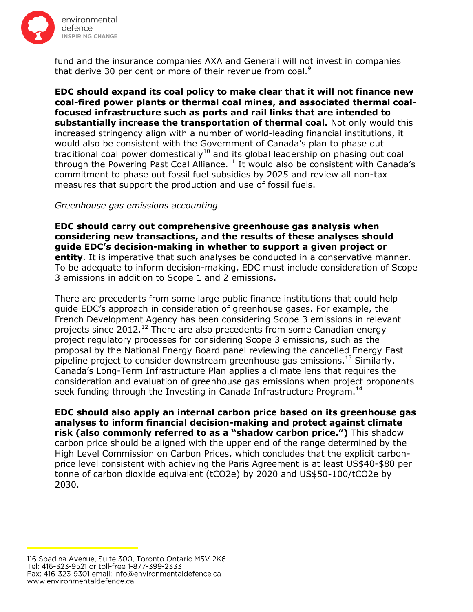

fund and the insurance companies AXA and Generali will not invest in companies that derive 30 per cent or more of their revenue from coal.<sup>9</sup>

**EDC should expand its coal policy to make clear that it will not finance new coal-fired power plants or thermal coal mines, and associated thermal coalfocused infrastructure such as ports and rail links that are intended to substantially increase the transportation of thermal coal.** Not only would this increased stringency align with a number of world-leading financial institutions, it would also be consistent with the Government of Canada's plan to phase out traditional coal power domestically<sup>10</sup> and its global leadership on phasing out coal through the Powering Past Coal Alliance.<sup>11</sup> It would also be consistent with Canada's commitment to phase out fossil fuel subsidies by 2025 and review all non-tax measures that support the production and use of fossil fuels.

#### *Greenhouse gas emissions accounting*

**EDC should carry out comprehensive greenhouse gas analysis when considering new transactions, and the results of these analyses should guide EDC's decision-making in whether to support a given project or entity**. It is imperative that such analyses be conducted in a conservative manner. To be adequate to inform decision-making, EDC must include consideration of Scope 3 emissions in addition to Scope 1 and 2 emissions.

There are precedents from some large public finance institutions that could help guide EDC's approach in consideration of greenhouse gases. For example, the French Development Agency has been considering Scope 3 emissions in relevant projects since  $2012<sup>12</sup>$  There are also precedents from some Canadian energy project regulatory processes for considering Scope 3 emissions, such as the proposal by the National Energy Board panel reviewing the cancelled Energy East pipeline project to consider downstream greenhouse gas emissions.<sup>13</sup> Similarly, Canada's Long-Term Infrastructure Plan applies a climate lens that requires the consideration and evaluation of greenhouse gas emissions when project proponents seek funding through the Investing in Canada Infrastructure Program.<sup>14</sup>

**EDC should also apply an internal carbon price based on its greenhouse gas analyses to inform financial decision-making and protect against climate risk (also commonly referred to as a "shadow carbon price.")** This shadow carbon price should be aligned with the upper end of the range determined by the High Level Commission on Carbon Prices, which concludes that the explicit carbonprice level consistent with achieving the Paris Agreement is at least US\$40-\$80 per tonne of carbon dioxide equivalent (tCO2e) by 2020 and US\$50-100/tCO2e by 2030.

<sup>116</sup> Spadina Avenue, Suite 300, Toronto Ontario M5V 2K6 Tel: 416-323-9521 or toll-free 1-877-399-2333 Fax: 416-323-9301 email: info@environmentaldefence.ca www.environmentaldefence.ca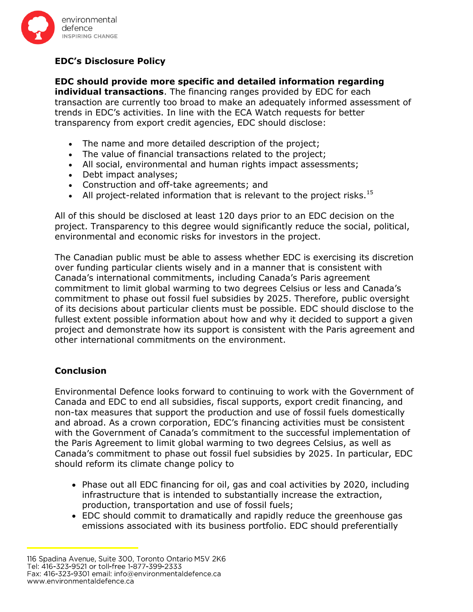

## **EDC's Disclosure Policy**

**EDC should provide more specific and detailed information regarding individual transactions**. The financing ranges provided by EDC for each transaction are currently too broad to make an adequately informed assessment of trends in EDC's activities. In line with the ECA Watch requests for better transparency from export credit agencies, EDC should disclose:

- The name and more detailed description of the project;
- The value of financial transactions related to the project;
- All social, environmental and human rights impact assessments;
- Debt impact analyses;
- Construction and off-take agreements; and
- All project-related information that is relevant to the project risks.<sup>15</sup>

All of this should be disclosed at least 120 days prior to an EDC decision on the project. Transparency to this degree would significantly reduce the social, political, environmental and economic risks for investors in the project.

The Canadian public must be able to assess whether EDC is exercising its discretion over funding particular clients wisely and in a manner that is consistent with Canada's international commitments, including Canada's Paris agreement commitment to limit global warming to two degrees Celsius or less and Canada's commitment to phase out fossil fuel subsidies by 2025. Therefore, public oversight of its decisions about particular clients must be possible. EDC should disclose to the fullest extent possible information about how and why it decided to support a given project and demonstrate how its support is consistent with the Paris agreement and other international commitments on the environment.

## **Conclusion**

Environmental Defence looks forward to continuing to work with the Government of Canada and EDC to end all subsidies, fiscal supports, export credit financing, and non-tax measures that support the production and use of fossil fuels domestically and abroad. As a crown corporation, EDC's financing activities must be consistent with the Government of Canada's commitment to the successful implementation of the Paris Agreement to limit global warming to two degrees Celsius, as well as Canada's commitment to phase out fossil fuel subsidies by 2025. In particular, EDC should reform its climate change policy to

- Phase out all EDC financing for oil, gas and coal activities by 2020, including infrastructure that is intended to substantially increase the extraction, production, transportation and use of fossil fuels;
- EDC should commit to dramatically and rapidly reduce the greenhouse gas emissions associated with its business portfolio. EDC should preferentially

<sup>116</sup> Spadina Avenue, Suite 300, Toronto Ontario M5V 2K6 Tel: 416-323-9521 or toll-free 1-877-399-2333 Fax: 416-323-9301 email: info@environmentaldefence.ca www.environmentaldefence.ca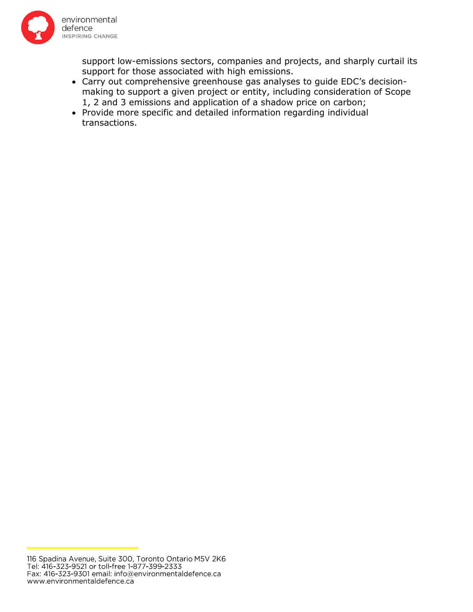

support low-emissions sectors, companies and projects, and sharply curtail its support for those associated with high emissions.

- Carry out comprehensive greenhouse gas analyses to guide EDC's decisionmaking to support a given project or entity, including consideration of Scope 1, 2 and 3 emissions and application of a shadow price on carbon;
- Provide more specific and detailed information regarding individual transactions.